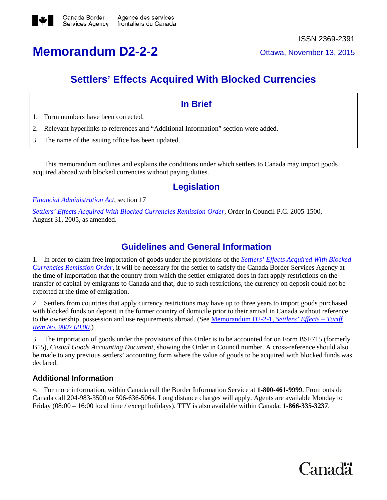

# **Memorandum D2-2-2** Ottawa, November 13, 2015

## **Settlers' Effects Acquired With Blocked Currencies**

#### **In Brief**

- 1. Form numbers have been corrected.
- 2. Relevant hyperlinks to references and "Additional Information" section were added.
- 3. The name of the issuing office has been updated.

This memorandum outlines and explains the conditions under which settlers to Canada may import goods acquired abroad with blocked currencies without paying duties.

### **Legislation**

*Financial [Administration](http://laws-lois.justice.gc.ca/eng/acts/f-11/FullText.html) Act*, section 17

*[Settlers' Effects](http://laws-lois.justice.gc.ca/eng/regulations/C.R.C.,_c._790/page-1.html) Acquired With Blocked Currencies Remission Order*, Order in Council P.C. 2005-1500, August 31, 2005, as amended.

#### **Guidelines and General Information**

1. In order to claim free importation of goods under the provisions of the *[Settlers' Effects](http://laws-lois.justice.gc.ca/eng/regulations/C.R.C.,_c._790/page-1.html) Acquired With Blocked [Currencies](http://laws-lois.justice.gc.ca/eng/regulations/C.R.C.,_c._790/page-1.html) Remission Order*, it will be necessary for the settler to satisfy the Canada Border Services Agency at the time of importation that the country from which the settler emigrated does in fact apply restrictions on the transfer of capital by emigrants to Canada and that, due to such restrictions, the currency on deposit could not be exported at the time of emigration.

2. Settlers from countries that apply currency restrictions may have up to three years to import goods purchased with blocked funds on deposit in the former country of domicile prior to their arrival in Canada without reference to the ownership, possession and use requirements abroad. (See Memorandum D2-2-1, *[Settlers' Effects](http://www.cbsa.gc.ca/publications/dm-md/d2/d2-2-1-eng.html) – Tariff Item No. [9807.00.00](http://www.cbsa.gc.ca/publications/dm-md/d2/d2-2-1-eng.html)*.)

3. The importation of goods under the provisions of this Order is to be accounted for on Form BSF715 (formerly B15), *Casual Goods Accounting Document*, showing the Order in Council number. A cross-reference should also be made to any previous settlers' accounting form where the value of goods to be acquired with blocked funds was declared.

#### **Additional Information**

4. For more information, within Canada call the Border Information Service at **1-800-461-9999**. From outside Canada call 204-983-3500 or 506-636-5064. Long distance charges will apply. Agents are available Monday to Friday (08:00 – 16:00 local time / except holidays). TTY is also available within Canada: **1-866-335-3237**.